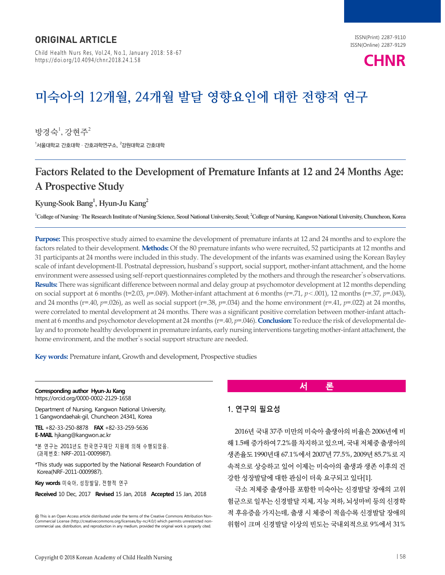Child Health Nurs Res, Vol.24, No.1, January 2018: 58-67 https://doi.org/10.4094/chnr.2018.24.1.58



# **미숙아의 12개월, 24개월 발달 영향요인에 대한 전향적 연구**

방경숙 $^{\rm l}$ , 강현주 $^{\rm 2}$  $^{\rm 1}$ 서울대학교 간호대학 · 간호과학연구소,  $^{\rm 2}$ 강원대학교 간호대학

# Factors Related to the Development of Premature Infants at 12 and 24 Months Age: A Prospective Study

Kyung-Sook Bang $^1$ , Hyun-Ju Kang $^2$ 

1 College of Nursing ․ The Research Institute of Nursing Science, Seoul National University, Seoul; 2 College of Nursing, Kangwon National University, Chuncheon, Korea

**Purpose:** This prospective study aimed to examine the development of premature infants at 12 and 24 months and to explore the factors related to their development. **Methods:** Of the 80 premature infants who were recruited, 52 participants at 12 months and 31 participants at 24 months were included in this study. The development of the infants was examined using the Korean Bayley scale of infant development-II. Postnatal depression, husband's support, social support, mother-infant attachment, and the home environment were assessed using self-report questionnaires completed by the mothers and through the researcher's observations. **Results:** There was significant difference between normal and delay group at psychomotor development at 12 months depending on social support at 6 months (t=2.03, *p*=.049). Mother-infant attachment at 6 months (r=.71, *p*<.001), 12 months (r=.37, *p*=.043), and 24 months ( $r=0.40$ ,  $p=0.026$ ), as well as social support ( $r=0.38$ ,  $p=0.034$ ) and the home environment ( $r=0.41$ ,  $p=0.022$ ) at 24 months, were correlated to mental development at 24 months. There was a significant positive correlation between mother-infant attachment at 6 months and psychomotor development at 24 months ( $r=40$ ,  $p=.046$ ). **Conclusion:** To reduce the risk of developmental delay and to promote healthy development in premature infants, early nursing interventions targeting mother-infant attachment, the home environment, and the mother's social support structure are needed.

**Key words:** Premature infant, Growth and development, Prospective studies

#### **Corresponding author Hyun-Ju Kang**

https://orcid.org/0000-0002-2129-1658

Department of Nursing, Kangwon National University, 1 Gangwondaehak-gil, Chuncheon 24341, Korea

**TEL** +82-33-250-8878 **FAX** +82-33-259-5636 **E-MAIL** hjkang@kangwon.ac.kr

\*본 연구는 2011년도 한국연구재단 지원에 의해 수행되었음. (과제번호: NRF-2011-0009987).

\*This study was supported by the National Research Foundation of Korea(NRF-2011-0009987).

**Key words** 미숙아, 성장발달, 전향적 연구

**Received** 10 Dec, 2017 **Revised** 15 Jan, 2018 **Accepted** 15 Jan, 2018

This is an Open Access article distributed under the terms of the Creative Commons Attribution Non-Commercial License (http://creativecommons.org/licenses/by-nc/4.0/) which permits unrestricted noncommercial use, distribution, and reproduction in any medium, provided the original work is properly cited.

# **서 론**

# 1. 연구의 필요성

2016년 국내 37주 미만의 미숙아 출생아의 비율은 2006년에 비 해 1.5배 증가하여 7.2%를 차지하고 있으며, 국내 저체중 출생아의 생존율도 1990년대 67.1%에서 2007년 77.5%, 2009년 85.7%로 지 속적으로 상승하고 있어 이제는 미숙아의 출생과 생존 이후의 건 강한 성장발달에 대한 관심이 더욱 요구되고 있다[1].

극소 저체중 출생아를 포함한 미숙아는 신경발달 장애의 고위 험군으로 일부는 신경발달 지체, 지능 저하, 뇌성마비 등의 신경학 적 후유증을 가지는데, 출생 시 체중이 적을수록 신경발달 장애의 위험이 크며 신경발달 이상의 빈도는 국내외적으로 9%에서 31%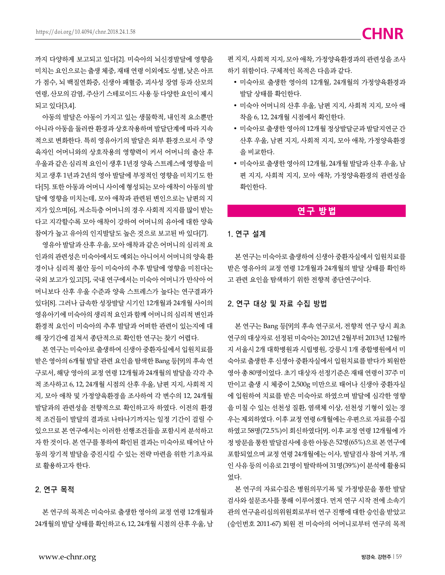까지 다양하게 보고되고 있다[2]. 미숙아의 뇌신경발달에 영향을 미치는 요인으로는 출생 체중, 재태 연령 이외에도 성별, 낮은 아프 가 점수, 뇌 백질연화증, 신생아 패혈증, 괴사성 장염 등과 산모의 연령, 산모의 감염, 주산기 스테로이드 사용 등 다양한 요인이 제시 되고 있다[3,4].

아동의 발달은 아동이 가지고 있는 생물학적, 내인적 요소뿐만 아니라 아동을 둘러싼 환경과 상호작용하며 발달단계에 따라 지속 적으로 변화한다. 특히 영유아기의 발달은 외부 환경으로서 주 양 육자인 어머니와의 상호작용의 영향력이 커서 어머니의 출산 후 우울과 같은 심리적 요인이 생후 1년경 양육 스트레스에 영향을 미 치고 생후 1년과 2년의 영아 발달에 부정적인 영향을 미치기도 한 다[5]. 또한 아동과 어머니 사이에 형성되는 모아 애착이 아동의 발 달에 영향을 미치는데, 모아 애착과 관련된 변인으로는 남편의 지 지가 있으며[6], 저소득층 어머니의 경우 사회적 지지를 많이 받는 다고 지각할수록 모아 애착이 강하여 어머니의 유아에 대한 양육 참여가 높고 유아의 인지발달도 높은 것으로 보고된 바 있다[7].

영유아 발달과 산후 우울, 모아 애착과 같은 어머니의 심리적 요 인과의 관련성은 미숙아에서도 예외는 아니어서 어머니의 양육 환 경이나 심리적 불안 등이 미숙아의 추후 발달에 영향을 미친다는 국외 보고가 있고[5], 국내 연구에서는 미숙아 어머니가 만삭아 어 머니보다 산후 우울 수준과 양육 스트레스가 높다는 연구결과가 있다[8]. 그러나 급속한 성장발달 시기인 12개월과 24개월 사이의 영유아기에 미숙아의 생리적 요인과 함께 어머니의 심리적 변인과 환경적 요인이 미숙아의 추후 발달과 어떠한 관련이 있는지에 대 해 장기간에 걸쳐서 종단적으로 확인한 연구는 찾기 어렵다.

본 연구는 미숙아로 출생하여 신생아 중환자실에서 입원치료를 받은 영아의 6개월 발달 관련 요인을 탐색한 Bang 등[9]의 후속 연 구로서, 해당 영아의 교정 연령 12개월과 24개월의 발달을 각각 추 적 조사하고 6, 12, 24개월 시점의 산후 우울, 남편 지지, 사회적 지 지, 모아 애착 및 가정양육환경을 조사하여 각 변수의 12, 24개월 발달과의 관련성을 전향적으로 확인하고자 하였다. 이전의 환경 적 조건들이 발달의 결과로 나타나기까지는 일정 기간이 걸릴 수 있으므로 본 연구에서는 이러한 선행조건들을 포함시켜 분석하고 자 한 것이다. 본 연구를 통하여 확인된 결과는 미숙아로 태어난 아 동의 장기적 발달을 증진시킬 수 있는 전략 마련을 위한 기초자료 로 활용하고자 한다.

## 2. 연구 목적

본 연구의 목적은 미숙아로 출생한 영아의 교정 연령 12개월과 24개월의 발달 상태를 확인하고 6, 12, 24개월 시점의 산후 우울, 남

편 지지, 사회적 지지, 모아 애착, 가정양육환경과의 관련성을 조사 하기 위함이다. 구체적인 목적은 다음과 같다.

- 미숙아로 출생한 영아의 12개월, 24개월의 가정양육환경과 발달 상태를 확인한다.
- 미숙아 어머니의 산후 우울, 남편 지지, 사회적 지지, 모아 애 착을 6, 12, 24개월 시점에서 확인한다.
- 미숙아로 출생한 영아의 12개월 정상발달군과 발달지연군 간 산후 우울, 남편 지지, 사회적 지지, 모아 애착, 가정양육환경 을 비교한다.
- 미숙아로 출생한 영아의 12개월, 24개월 발달과 산후 우울, 남 편 지지, 사회적 지지, 모아 애착, 가정양육환경의 관련성을 확인한다.

# **연구 방법**

#### 1. 연구 설계

본 연구는 미숙아로 출생하여 신생아 중환자실에서 입원치료를 받은 영유아의 교정 연령 12개월과 24개월의 발달 상태를 확인하 고 관련 요인을 탐색하기 위한 전향적 종단연구이다.

# 2. 연구 대상 및 자료 수집 방법

본 연구는 Bang 등[9]의 후속 연구로서, 전향적 연구 당시 최초 연구의 대상자로 선정된 미숙아는 2012년 2월부터 2013년 12월까 지 서울시 2개 대학병원과 시립병원, 강릉시 1개 종합병원에서 미 숙아로 출생한 후 신생아 중환자실에서 입원치료를 받다가 퇴원한 영아 총 80명이었다. 초기 대상자 선정기준은 재태 연령이 37주 미 만이고 출생 시 체중이 2,500g 미만으로 태어나 신생아 중환자실 에 입원하여 치료를 받은 미숙아로 하였으며 발달에 심각한 영향 을 미칠 수 있는 선천성 질환, 염색체 이상, 선천성 기형이 있는 경 우는 제외하였다. 이후 교정 연령 6개월에는 우편으로 자료를 수집 하였고 58명(72.5%)이 회신하였다[9]. 이후 교정 연령 12개월에 가 정 방문을 통한 발달검사에 응한 아동은 52명(65%)으로 본 연구에 포함되었으며 교정 연령 24개월에는 이사, 발달검사 참여 거부, 개 인 사유 등의 이유로 21명이 탈락하여 31명(39%)이 분석에 활용되 었다.

본 연구의 자료수집은 병원의무기록 및 가정방문을 통한 발달 검사와 설문조사를 통해 이루어졌다. 먼저 연구 시작 전에 소속기 관의 연구윤리심의위원회로부터 연구 진행에 대한 승인을 받았고 (승인번호 2011-67) 퇴원 전 미숙아의 어머니로부터 연구의 목적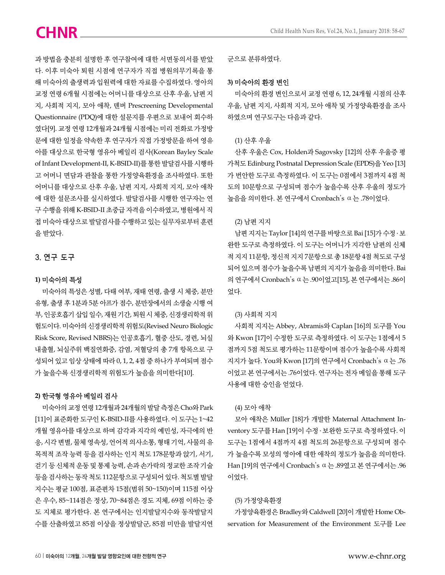과 방법을 충분히 설명한 후 연구참여에 대한 서면동의서를 받았 다. 이후 미숙아 퇴원 시점에 연구자가 직접 병원의무기록을 통 해 미숙아의 출생력과 입원력에 대한 자료를 수집하였다. 영아의 교정 연령 6개월 시점에는 어머니를 대상으로 산후 우울, 남편 지 지, 사회적 지지, 모아 애착, 덴버 Prescreening Developmental Questionnaire (PDQ)에 대한 설문지를 우편으로 보내어 회수하 였다[9]. 교정 연령 12개월과 24개월 시점에는 미리 전화로 가정방 문에 대한 일정을 약속한 후 연구자가 직접 가정방문을 하여 영유 아를 대상으로 한국형 영유아 베일리 검사(Korean Bayley Scale of Infant Development-II, K-BSID-II)를 통한 발달검사를 시행하 고 어머니 면담과 관찰을 통한 가정양육환경을 조사하였다. 또한 어머니를 대상으로 산후 우울, 남편 지지, 사회적 지지, 모아 애착 에 대한 설문조사를 실시하였다. 발달검사를 시행한 연구자는 연 구 수행을 위해 K-BSID-II 초중급 자격을 이수하였고, 병원에서 직 접 미숙아 대상으로 발달검사를 수행하고 있는 실무자로부터 훈련 을 받았다.

#### 3. 연구 도구

#### **1)** 미숙아의 특성

미숙아의 특성은 성별, 다태 여부, 재태 연령, 출생 시 체중, 분만 유형, 출생 후 1분과 5분 아프가 점수, 분만장에서의 소생술 시행 여 부, 인공호흡기 삽입 일수, 재원 기간, 퇴원 시 체중, 신경생리학적 위 험도이다. 미숙아의 신경생리학적 위험도(Revised Neuro Biologic Risk Score, Revised NBRS)는 인공호흡기, 혈중 산도, 경련, 뇌실 내출혈, 뇌실주위 백질연화증, 감염, 저혈당의 총 7개 항목으로 구 성되어 있고 임상 상태에 따라 0, 1, 2, 4점 중 하나가 부여되며 점수 가 높을수록 신경생리학적 위험도가 높음을 의미한다[10].

# **2)** 한국형 영유아 베일리 검사

미숙아의 교정 연령 12개월과 24개월의 발달 측정은 Cho와 Park [11]이 표준화한 도구인 K-BSID-II를 사용하였다. 이 도구는 1~42 개월 영유아를 대상으로 하며 감각과 지각의 예민성, 자극에의 반 응, 시각 변별, 물체 영속성, 언어적 의사소통, 형태 기억, 사물의 유 목적적 조작 능력 등을 검사하는 인지 척도 178문항과 앉기, 서기, 걷기 등 신체적 운동 및 통제 능력, 손과 손가락의 정교한 조작 기술 등을 검사하는 동작 척도 112문항으로 구성되어 있다. 척도별 발달 지수는 평균 100점, 표준편차 15점(범위 50~150)이며 115점 이상 은 우수, 85~114점은 정상, 70~84점은 경도 지체, 69점 이하는 중 도 지체로 평가한다. 본 연구에서는 인지발달지수와 동작발달지 수를 산출하였고 85점 이상을 정상발달군, 85점 미만을 발달지연 군으로 분류하였다.

# **3)** 미숙아의 환경 변인

미숙아의 환경 변인으로서 교정 연령 6, 12, 24개월 시점의 산후 우울, 남편 지지, 사회적 지지, 모아 애착 및 가정양육환경을 조사 하였으며 연구도구는 다음과 같다.

## (1) 산후 우울

산후 우울은 Cox, Holden과 Sagovsky [12]의 산후 우울증 평 가척도 Edinburg Postnatal Depression Scale (EPDS)을 Yeo [13] 가 번안한 도구로 측정하였다. 이 도구는 0점에서 3점까지 4점 척 도의 10문항으로 구성되며 점수가 높을수록 산후 우울의 정도가 높음을 의미한다. 본 연구에서 Cronbach's ⍺는 .78이었다.

#### (2) 남편 지지

남편 지지는 Taylor [14]의 연구를 바탕으로 Bai [15]가 수정 ․ 보 완한 도구로 측정하였다. 이 도구는 어머니가 지각한 남편의 신체 적 지지 11문항, 정신적 지지 7문항으로 총 18문항 4점 척도로 구성 되어 있으며 점수가 높을수록 남편의 지지가 높음을 의미한다. Bai 의 연구에서 Cronbach's ⍺는 .90이었고[15], 본 연구에서는 .86이 었다.

#### (3) 사회적 지지

사회적 지지는 Abbey, Abramis와 Caplan [16]의 도구를 You 와 Kwon [17]이 수정한 도구로 측정하였다. 이 도구는 1점에서 5 점까지 5점 척도로 평가하는 11문항이며 점수가 높을수록 사회적 지지가 높다. You와 Kwon [17]의 연구에서 Cronbach's ⍺는 .76 이었고 본 연구에서는 .76이었다. 연구자는 전자 메일을 통해 도구 사용에 대한 승인을 얻었다.

#### (4) 모아 애착

모아 애착은 Müller [18]가 개발한 Maternal Attachment Inventory 도구를 Han [19]이 수정 ․ 보완한 도구로 측정하였다. 이 도구는 1점에서 4점까지 4점 척도의 26문항으로 구성되며 점수 가 높을수록 모성의 영아에 대한 애착의 정도가 높음을 의미한다. Han [19]의 연구에서 Cronbach's ⍺는 .89였고 본 연구에서는 .96 이었다.

#### (5) 가정양육환경

가정양육환경은 Bradley와 Caldwell [20]이 개발한 Home Observation for Measurement of the Environment 도구를 Lee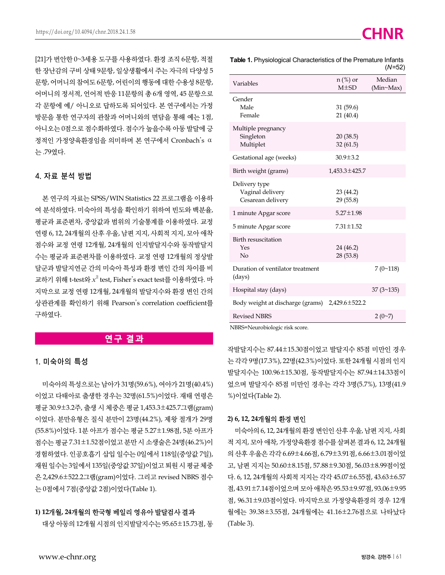[21]가 번안한 0~3세용 도구를 사용하였다. 환경 조직 6문항, 적절 한 장난감의 구비 상태 9문항, 일상생활에서 주는 자극의 다양성 5 문항, 어머니의 참여도 6문항, 어린이의 행동에 대한 수용성 8문항, 어머니의 정서적, 언어적 반응 11문항의 총 6개 영역, 45 문항으로 각 문항에 예/ 아니오로 답하도록 되어있다. 본 연구에서는 가정 방문을 통한 연구자의 관찰과 어머니와의 면담을 통해 예는 1점, 아니오는 0점으로 점수화하였다. 점수가 높을수록 아동 발달에 긍 정적인 가정양육환경임을 의미하며 본 연구에서 Cronbach's ⍺ 는 .79였다.

# 4. 자료 분석 방법

본 연구의 자료는 SPSS/WIN Statistics 22 프로그램을 이용하 여 분석하였다. 미숙아의 특성을 확인하기 위하여 빈도와 백분율, 평균과 표준편차, 중앙값과 범위의 기술통계를 이용하였다. 교정 연령 6, 12, 24개월의 산후 우울, 남편 지지, 사회적 지지, 모아 애착 점수와 교정 연령 12개월, 24개월의 인지발달지수와 동작발달지 수는 평균과 표준편차를 이용하였다. 교정 연령 12개월의 정상발 달군과 발달지연군 간의 미숙아 특성과 환경 변인 간의 차이를 비 교하기 위해 t-test와 $\,x^2\,$ test, Fisher's exact test를 이용하였다. 마 지막으로 교정 연령 12개월, 24개월의 발달지수와 환경 변인 간의 상관관계를 확인하기 위해 Pearson's correlation coefficient를 구하였다.

# **연구 결과**

#### 1. 미숙아의 특성

미숙아의 특성으로는 남아가 31명(59.6%), 여아가 21명(40.4%) 이었고 다태아로 출생한 경우는 32명(61.5%)이었다. 재태 연령은 평균 30.9±3.2주, 출생 시 체중은 평균 1,453.3±425.7그램(gram) 이었다. 분만유형은 질식 분만이 23명(44.2%), 제왕 절개가 29명 (55.8%)이었다. 1분 아프가 점수는 평균 5.27±1.98점, 5분 아프가 점수는 평균 7.31±1.52점이었고 분만 시 소생술은 24명(46.2%)이 경험하였다. 인공호흡기 삽입 일수는 0일에서 118일(중앙값 7일), 재원 일수는 3일에서 135일(중앙값 37일)이었고 퇴원 시 평균 체중 은 2,429.6±522.2그램(gram)이었다. 그리고 revised NBRS 점수 는 0점에서 7점(중앙값 2점)이었다(Table 1).

### **1) 12**개월**, 24**개월의 한국형 베일리 영유아 발달검사 결과

대상 아동의 12개월 시점의 인지발달지수는 95.65±15.73점, 동

| Variables                                              | $n$ (%) or<br>$M\pm SD$ | Median<br>(Min~Max) |
|--------------------------------------------------------|-------------------------|---------------------|
| Gender<br>Male<br>Female                               | 31(59.6)<br>21(40.4)    |                     |
| Multiple pregnancy<br>Singleton<br>Multiplet           | 20(38.5)<br>32(61.5)    |                     |
| Gestational age (weeks)                                | $30.9 \pm 3.2$          |                     |
| Birth weight (grams)                                   | 1,453.3±425.7           |                     |
| Delivery type<br>Vaginal delivery<br>Cesarean delivery | 23 (44.2)<br>29(55.8)   |                     |
| 1 minute Apgar score                                   | $5.27 \pm 1.98$         |                     |
| 5 minute Apgar score                                   | $7.31 \pm 1.52$         |                     |
| Birth resuscitation<br>Yes<br>No                       | 24 (46.2)<br>28 (53.8)  |                     |
| Duration of ventilator treatment<br>(days)             |                         | $7(0-118)$          |
| Hospital stay (days)                                   |                         | $37(3 \times 135)$  |
| Body weight at discharge (grams) $2,429.6 \pm 522.2$   |                         |                     |
| <b>Revised NBRS</b>                                    |                         | $2(0-7)$            |

**Table 1.** Physiological Characteristics of the Premature Infants

NBRS=Neurobiologic risk score.

작발달지수는 87.44±15.30점이었고 발달지수 85점 미만인 경우 는 각각 9명(17.3%), 22명(42.3%)이었다. 또한 24개월 시점의 인지 발달지수는 100.96±15.30점, 동작발달지수는 87.94±14.33점이 었으며 발달지수 85점 미만인 경우는 각각 3명(5.7%), 13명(41.9 %)이었다(Table 2).

#### **2) 6, 12, 24**개월의 환경 변인

미숙아의 6, 12, 24개월의 환경 변인인 산후 우울, 남편 지지, 사회 적 지지, 모아 애착, 가정양육환경 점수를 살펴본 결과 6, 12, 24개월 의 산후 우울은 각각 6.69±4.66점, 6.79±3.91점, 6.66±3.01점이었 고, 남편 지지는 50.60±8.15점, 57.88±9.30점, 56.03±8.99점이었 다. 6, 12, 24개월의 사회적 지지는 각각 45.07±6.55점, 43.63±6.57 점, 43.91±7.14점이었으며 모아 애착은 95.53±9.97점, 93.06±9.95 점, 96.31±9.03점이었다. 마지막으로 가정양육환경의 경우 12개 월에는 39.38±3.55점, 24개월에는 41.16±2.76점으로 나타났다 (Table 3).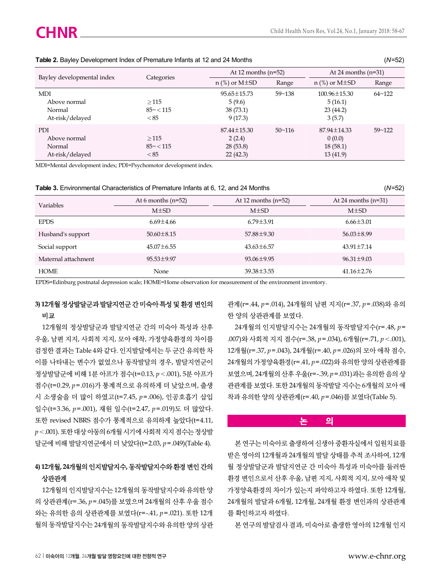|                                                         |                            | At 12 months $(n=52)$                               |                 | At 24 months $(n=31)$                               |            |
|---------------------------------------------------------|----------------------------|-----------------------------------------------------|-----------------|-----------------------------------------------------|------------|
| Bayley developmental index                              | Categories                 | $n$ (%) or M $\pm$ SD                               | Range           | $n$ (%) or M $\pm$ SD                               | Range      |
| <b>MDI</b><br>Above normal<br>Normal<br>At-risk/delayed | >115<br>$85 - 115$<br>< 85 | $95.65 \pm 15.73$<br>5(9.6)<br>38 (73.1)<br>9(17.3) | $59 - 138$      | $100.96 \pm 15.30$<br>5(16.1)<br>23(44.2)<br>3(5.7) | $64 - 122$ |
| <b>PDI</b><br>Above normal<br>Normal<br>At-risk/delayed | >115<br>$85 - 115$<br>< 85 | $87.44 \pm 15.30$<br>2(2.4)<br>28(53.8)<br>22(42.3) | $50 \times 116$ | $87.94 \pm 14.33$<br>0(0.0)<br>18(58.1)<br>13(41.9) | $59 - 122$ |

#### **Table 2.** Bayley Development Index of Premature Infants at 12 and 24 Months (*N*=52)

MDI=Mental development index; PDI=Psychomotor development index.

#### **Table 3.** Environmental Characteristics of Premature Infants at 6, 12, and 24 Months (*N*=52)

| Variables           | At 6 months $(n=52)$ | At 12 months $(n=52)$ | At 24 months $(n=31)$ |
|---------------------|----------------------|-----------------------|-----------------------|
|                     | $M\pm SD$            | $M\pm SD$             | $M\pm SD$             |
| <b>EPDS</b>         | $6.69 \pm 4.66$      | $6.79 \pm 3.91$       | $6.66 \pm 3.01$       |
| Husband's support   | $50.60 \pm 8.15$     | 57.88±9.30            | $56.03 \pm 8.99$      |
| Social support      | $45.07 \pm 6.55$     | $43.63 \pm 6.57$      | $43.91 \pm 7.14$      |
| Maternal attachment | $95.53 \pm 9.97$     | $93.06 \pm 9.95$      | $96.31 \pm 9.03$      |
| <b>HOME</b>         | None                 | 39.38±3.55            | $41.16 \pm 2.76$      |

EPDS=Edinburg postnatal depression scale; HOME=Home observation for measurement of the environment inventory.

# **3) 12**개월 정상발달군과 발달지연군 간 미숙아 특성 및 환경 변인의 비교

12개월의 정상발달군과 발달지연군 간의 미숙아 특성과 산후 우울, 남편 지지, 사회적 지지, 모아 애착, 가정양육환경의 차이를 검정한 결과는 Table 4와 같다. 인지발달에서는 두 군간 유의한 차 이를 나타내는 변수가 없었으나 동작발달의 경우, 발달지연군이 정상발달군에 비해 1분 아프가 점수(t=0.13, *p*<.001), 5분 아프가 점수(t=0.29, *p*=.016)가 통계적으로 유의하게 더 낮았으며, 출생 시 소생술을 더 많이 하였고(t=7.45, *p*=.006), 인공호흡기 삽입 일수(t=3.36, *p*=.001), 재원 일수(t=2.47, *p*=.019)도 더 많았다. 또한 revised NBRS 점수가 통계적으로 유의하게 높았다(t=4.11, *p*<.001). 또한 대상 아동의 6개월 시기에 사회적 지지 점수는 정상발 달군에 비해 발달지연군에서 더 낮았다(t=2.03, *p*=.049)(Table 4).

# **4) 12**개월**, 24**개월의 인지발달지수**,** 동작발달지수와 환경 변인 간의 상관관계

12개월의 인지발달지수는 12개월의 동작발달지수와 유의한 양 의 상관관계(r=.36, *p*=.045)를 보였으며 24개월의 산후 우울 점수 와는 유의한 음의 상관관계를 보였다(r=-.41, *p*=.021). 또한 12개 월의 동작발달지수는 24개월의 동작발달지수와 유의한 양의 상관 관계(r=.44, *p*=.014), 24개월의 남편 지지(r=.37, *p*=.038)와 유의 한 양의 상관관계를 보였다.

24개월의 인지발달지수는 24개월의 동작발달지수(r=.48, *p*= .007)와 사회적 지지 점수(r=.38, *p*=.034), 6개월(r=.71, *p*<.001), 12개월(r=.37, *p*=.043), 24개월(r=.40, *p*=.026)의 모아 애착 점수, 24개월의 가정양육환경(r=.41, *p*=.022)와 유의한 양의 상관관계를 보였으며, 24개월의 산후 우울(r=-.39, *p*=.031)과는 유의한 음의 상 관관계를 보였다. 또한 24개월의 동작발달 지수는 6개월의 모아 애 착과 유의한 양의 상관관계(r=.40, *p*=.046)를 보였다(Table 5).

## **논 의**

본 연구는 미숙아로 출생하여 신생아 중환자실에서 입원치료를 받은 영아의 12개월과 24개월의 발달 상태를 추적 조사하여, 12개 월 정상발달군과 발달지연군 간 미숙아 특성과 미숙아를 둘러싼 환경 변인으로서 산후 우울, 남편 지지, 사회적 지지, 모아 애착 및 가정양육환경의 차이가 있는지 파악하고자 하였다. 또한 12개월, 24개월의 발달과 6개월, 12개월, 24개월 환경 변인과의 상관관계 를 확인하고자 하였다.

본 연구의 발달검사 결과, 미숙아로 출생한 영아의 12개월 인지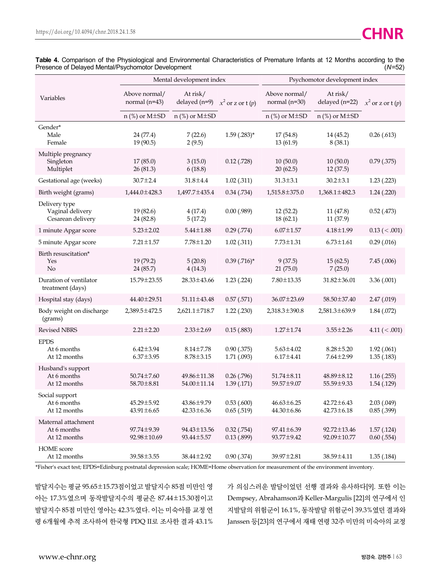|                                                        |                                    | Mental development index           |                                |                                    | Psychomotor development index        |                                |
|--------------------------------------------------------|------------------------------------|------------------------------------|--------------------------------|------------------------------------|--------------------------------------|--------------------------------|
| Variables                                              | Above normal/<br>normal $(n=43)$   | At risk/<br>delayed $(n=9)$        | $x^2$ or z or t $(p)$          | Above normal/<br>normal $(n=30)$   | At risk/<br>delayed (n=22)           | $x^2$ or z or t $(p)$          |
|                                                        | $n$ (%) or M $\pm$ SD              | $n$ (%) or M $\pm$ SD              |                                | $n$ (%) or M $\pm$ SD              | $n$ (%) or M $\pm$ SD                |                                |
| Gender*<br>Male<br>Female                              | 24 (77.4)<br>19 (90.5)             | 7(22.6)<br>2(9.5)                  | $1.59$ (.283)*                 | 17(54.8)<br>13(61.9)               | 14 (45.2)<br>8(38.1)                 | $0.26$ (.613)                  |
| Multiple pregnancy<br>Singleton<br>Multiplet           | 17(85.0)<br>26 (81.3)              | 3(15.0)<br>6(18.8)                 | $0.12$ (.728)                  | 10(50.0)<br>20(62.5)               | 10(50.0)<br>12(37.5)                 | $0.79$ $(.375)$                |
| Gestational age (weeks)                                | $30.7 \pm 2.4$                     | $31.8 \pm 4.4$                     | 1.02(.311)                     | $31.3 \pm 3.1$                     | $30.2 \pm 3.1$                       | $1.23$ $(.223)$                |
| Birth weight (grams)                                   | 1,444.0±428.3                      | 1,497.7±435.4                      | $0.34$ $(.734)$                | 1,515.8±375.0                      | $1,368.1 \pm 482.3$                  | 1.24(.220)                     |
| Delivery type<br>Vaginal delivery<br>Cesarean delivery | 19 (82.6)<br>24 (82.8)             | 4(17.4)<br>5(17.2)                 | 0.00(0.989)                    | 12(52.2)<br>18(62.1)               | 11(47.8)<br>11 (37.9)                | $0.52$ (.473)                  |
| 1 minute Apgar score                                   | $5.23 \pm 2.02$                    | $5.44 \pm 1.88$                    | $0.29$ (.774)                  | $6.07 \pm 1.57$                    | $4.18 \pm 1.99$                      | $0.13$ ( $< .001$ )            |
| 5 minute Apgar score                                   | $7.21 \pm 1.57$                    | $7.78 \pm 1.20$                    | 1.02(.311)                     | $7.73 \pm 1.31$                    | $6.73 \pm 1.61$                      | 0.29(0.016)                    |
| Birth resuscitation*<br>Yes<br>$\rm No$                | 19 (79.2)<br>24 (85.7)             | 5(20.8)<br>4(14.3)                 | $0.39$ (.716) <sup>*</sup>     | 9(37.5)<br>21(75.0)                | 15(62.5)<br>7(25.0)                  | 7.45(.006)                     |
| Duration of ventilator<br>treatment (days)             | 15.79 ± 23.55                      | $28.33 \pm 43.66$                  | 1.23(.224)                     | $7.80 \pm 13.35$                   | $31.82 \pm 36.01$                    | 3.36(.001)                     |
| Hospital stay (days)                                   | 44.40±29.51                        | $51.11 \pm 43.48$                  | 0.57(0.571)                    | 36.07±23.69                        | 58.50±37.40                          | 2.47 (.019)                    |
| Body weight on discharge<br>(grams)                    | 2,389.5 ± 472.5                    | $2,621.1 \pm 718.7$                | $1.22$ $(.230)$                | 2,318.3±390.8                      | 2,581.3±639.9                        | 1.84 (.072)                    |
| <b>Revised NBRS</b>                                    | $2.21 \pm 2.20$                    | $2.33 \pm 2.69$                    | 0.15(.883)                     | $1.27 \pm 1.74$                    | $3.55 \pm 2.26$                      | 4.11 ( $< .001$ )              |
| <b>EPDS</b><br>At 6 months<br>At 12 months             | $6.42 \pm 3.94$<br>$6.37 \pm 3.95$ | $8.14 \pm 7.78$<br>$8.78 \pm 3.15$ | $0.90$ $(.375)$<br>1.71 (.093) | $5.63 \pm 4.02$<br>$6.17 \pm 4.41$ | $8.28 \pm 5.20$<br>$7.64 \pm 2.99$   | 1.92(0.061)<br>1.35(0.183)     |
| Husband's support<br>At 6 months<br>At 12 months       | $50.74 \pm 7.60$<br>58.70 ± 8.81   | 49.86±11.38<br>54.00 ± 11.14       | $0.26$ (.796)<br>1.39(0.171)   | $51.74 \pm 8.11$<br>59.57±9.07     | $48.89 \pm 8.12$<br>$55.59 \pm 9.33$ | 1.16(0.255)<br>1.54(0.129)     |
| Social support<br>At 6 months<br>At 12 months          | 45.29±5.92<br>$43.91 \pm 6.65$     | 43.86±9.79<br>$42.33 \pm 6.36$     | 0.53(0.600)<br>0.65(.519)      | $46.63 \pm 6.25$<br>44.30±6.86     | $42.72 \pm 6.43$<br>$42.73 \pm 6.18$ | 2.03(0.049)<br>$0.85$ (.399)   |
| Maternal attachment<br>At 6 months<br>At 12 months     | 97.74±9.39<br>92.98 ± 10.69        | 94.43±13.56<br>93.44±5.57          | $0.32$ $(.754)$<br>0.13(0.899) | $97.41 \pm 6.39$<br>93.77±9.42     | 92.72±13.46<br>92.09±10.77           | 1.57(0.124)<br>$0.60$ $(.554)$ |
| <b>HOME</b> score<br>At 12 months                      | 39.58 ± 3.55                       | 38.44±2.92                         | 0.90(0.374)                    | 39.97±2.81                         | 38.59±4.11                           | 1.35(0.184)                    |

**Table 4.** Comparison of the Physiological and Environmental Characteristics of Premature Infants at 12 Months according to the Presence of Delayed Mental/Psychomotor Development Presence of Delayed Mental/Psychomotor Development

\*Fisher's exact test; EPDS=Edinburg postnatal depression scale; HOME=Home observation for measurement of the environment inventory.

발달지수는 평균 95.65±15.73점이었고 발달지수 85점 미만인 영 아는 17.3%였으며 동작발달지수의 평균은 87.44±15.30점이고 발달지수 85점 미만인 영아는 42.3%였다. 이는 미숙아를 교정 연 령 6개월에 추적 조사하여 한국형 PDQ II로 조사한 결과 43.1%

가 의심스러운 발달이었던 선행 결과와 유사하다[9]. 또한 이는 Dempsey, Abrahamson과 Keller-Margulis [22]의 연구에서 인 지발달의 위험군이 16.1%, 동작발달 위험군이 39.3%였던 결과와 Janssen 등[23]의 연구에서 재태 연령 32주 미만의 미숙아의 교정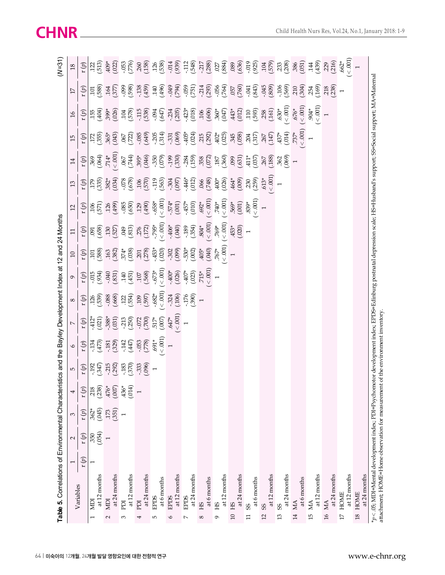| Table 5. Correlations of Environmental Characteristics and the Bayley Development Index at 12 and 24 Months                                                                                                                                               | 1    | $\sim$        | 3                 | 4                                      | LŊ                                                       | $\circ$                                  | $\sim$                                                      | $\infty$                                                                                                        | $\circ$                                     | $\overline{10}$                                                                                                                                                                                                                                                                                                     | $\Xi$                                                                                                                                | $\overline{c}$                                                                                                                                                                                                                                                                                                                                                                                                                                                                                                                        | $\mathfrak{L}$                                                                                                                                                        | $\overline{14}$                                                     | 15                                          | $\mathfrak{I}$                                                     | $\overline{17}$                                                                                                                         | $(N=31)$<br>$18\,$                                                                                            |
|-----------------------------------------------------------------------------------------------------------------------------------------------------------------------------------------------------------------------------------------------------------|------|---------------|-------------------|----------------------------------------|----------------------------------------------------------|------------------------------------------|-------------------------------------------------------------|-----------------------------------------------------------------------------------------------------------------|---------------------------------------------|---------------------------------------------------------------------------------------------------------------------------------------------------------------------------------------------------------------------------------------------------------------------------------------------------------------------|--------------------------------------------------------------------------------------------------------------------------------------|---------------------------------------------------------------------------------------------------------------------------------------------------------------------------------------------------------------------------------------------------------------------------------------------------------------------------------------------------------------------------------------------------------------------------------------------------------------------------------------------------------------------------------------|-----------------------------------------------------------------------------------------------------------------------------------------------------------------------|---------------------------------------------------------------------|---------------------------------------------|--------------------------------------------------------------------|-----------------------------------------------------------------------------------------------------------------------------------------|---------------------------------------------------------------------------------------------------------------|
| Variables                                                                                                                                                                                                                                                 |      |               |                   |                                        |                                                          |                                          |                                                             |                                                                                                                 |                                             |                                                                                                                                                                                                                                                                                                                     |                                                                                                                                      |                                                                                                                                                                                                                                                                                                                                                                                                                                                                                                                                       |                                                                                                                                                                       |                                                                     |                                             |                                                                    |                                                                                                                                         |                                                                                                               |
|                                                                                                                                                                                                                                                           | r(p) | r (p)         | r (p)             | r (p)                                  | $\mathfrak{a}(q)$                                        | $\mathfrak{r}(\mathfrak{p})$             | $\mathfrak{a}(p)$                                           | $\vec{a}$                                                                                                       | $\mathfrak{a}$                              | $\mathfrak{r}(\mathfrak{p})$                                                                                                                                                                                                                                                                                        | $\mathfrak{p}$                                                                                                                       | $\mathfrak{g}$                                                                                                                                                                                                                                                                                                                                                                                                                                                                                                                        | $\mathfrak{p}$                                                                                                                                                        | r(p)                                                                | $\mathfrak{p}$                              | $\mathfrak{g}$ $\mathfrak{g}$                                      | $\mathbf{r}(\mathbf{p})$                                                                                                                | r (p)                                                                                                         |
| ICIM<br>I                                                                                                                                                                                                                                                 |      | 350<br>(.054) | $.362*$<br>(.045) |                                        |                                                          |                                          |                                                             |                                                                                                                 |                                             |                                                                                                                                                                                                                                                                                                                     | (850, )                                                                                                                              |                                                                                                                                                                                                                                                                                                                                                                                                                                                                                                                                       |                                                                                                                                                                       | (0.064)                                                             |                                             |                                                                    | $101$<br>$588$                                                                                                                          |                                                                                                               |
| at 12 months                                                                                                                                                                                                                                              |      |               |                   |                                        |                                                          |                                          |                                                             |                                                                                                                 |                                             |                                                                                                                                                                                                                                                                                                                     |                                                                                                                                      |                                                                                                                                                                                                                                                                                                                                                                                                                                                                                                                                       |                                                                                                                                                                       |                                                                     |                                             |                                                                    |                                                                                                                                         |                                                                                                               |
| at 24 months<br><b>NDI</b><br>2                                                                                                                                                                                                                           |      |               | (351)             | $73.80$<br>$7.80$<br>$4.50$<br>$-1.00$ | $-192$<br>$-215$<br>$-215$<br>$-183$<br>$-183$<br>$-183$ | $(473)$<br>$(473)$<br>$(329)$            | $-412$<br>$(021)$<br>$-388$<br>$(031)$<br>$-213$<br>$(030)$ | $(126$<br>$(.539)$<br>$.088$<br>$(.668)$                                                                        | $(154)$<br>$(162)$<br>$(163)$<br>$(160)$    | $\begin{array}{l} 11.03 \\[-4pt] 13.03 \\[-4pt] 14.03 \\[-4pt] 14.03 \\[-4pt] 14.03 \\[-4pt] 14.03 \\[-4pt] 14.03 \\[-4pt] 14.03 \\[-4pt] 14.03 \\[-4pt] 14.03 \\[-4pt] 14.03 \\[-4pt] 14.03 \\[-4pt] 14.03 \\[-4pt] 14.03 \\[-4pt] 14.03 \\[-4pt] 14.03 \\[-4pt] 14.03 \\[-4pt] 14.03 \\[-4pt] 14.03 \\[-4pt] 14.$ |                                                                                                                                      |                                                                                                                                                                                                                                                                                                                                                                                                                                                                                                                                       | $179$<br>$382*$<br>$382*$<br>$382*$<br>$382*$<br>$382*$<br>$382*$<br>$382*$<br>$382*$<br>$382*$<br>$382*$<br>$382*$<br>$382*$<br>$382*$<br>$382*$<br>$382*$<br>$382*$ | $.714^*$ $< .001$                                                   | $172$<br>$(355)$<br>$(355)$<br>$(355)$      | $(155$<br>$(404)$<br>$(39)$ *<br>$(026)$                           | .377                                                                                                                                    | $122$<br>$(513)$<br>$40\%$<br>$(02)$                                                                          |
| at 12 months<br>ppi<br>3                                                                                                                                                                                                                                  |      |               |                   | $.436*$<br>$(014)$                     |                                                          | $-142$<br>(447)                          |                                                             | (0.554)                                                                                                         |                                             |                                                                                                                                                                                                                                                                                                                     |                                                                                                                                      |                                                                                                                                                                                                                                                                                                                                                                                                                                                                                                                                       |                                                                                                                                                                       | (744)                                                               | (0.722)                                     |                                                                    | (865 <sup>-</sup> )<br>660'-                                                                                                            |                                                                                                               |
| ppI<br>4                                                                                                                                                                                                                                                  |      |               |                   |                                        |                                                          |                                          |                                                             |                                                                                                                 |                                             |                                                                                                                                                                                                                                                                                                                     |                                                                                                                                      |                                                                                                                                                                                                                                                                                                                                                                                                                                                                                                                                       |                                                                                                                                                                       |                                                                     |                                             |                                                                    |                                                                                                                                         |                                                                                                               |
| at 24 months                                                                                                                                                                                                                                              |      |               |                   |                                        | $-333$<br>$(096)$                                        |                                          |                                                             |                                                                                                                 |                                             |                                                                                                                                                                                                                                                                                                                     |                                                                                                                                      |                                                                                                                                                                                                                                                                                                                                                                                                                                                                                                                                       |                                                                                                                                                                       |                                                                     |                                             |                                                                    |                                                                                                                                         |                                                                                                               |
| at 6 months<br><b>EPDS</b><br>Б                                                                                                                                                                                                                           |      |               |                   |                                        |                                                          | $-0.53$<br>$(500, -200)$<br>$(80, -100)$ | $(700)$<br>$(517)$<br>$(007)$                               |                                                                                                                 | $(107)$<br>$(-568)$<br>$(-568)$<br>$(-573)$ |                                                                                                                                                                                                                                                                                                                     |                                                                                                                                      |                                                                                                                                                                                                                                                                                                                                                                                                                                                                                                                                       |                                                                                                                                                                       |                                                                     | $-0.85$<br>$(649)$<br>$-0.205$<br>$-0.314)$ | $\begin{array}{c} 104 \\ 1578 \\ -115 \\ -094 \\ -047 \end{array}$ | $(459)$<br>140<br>140<br>140                                                                                                            |                                                                                                               |
| <b>EPDS</b><br>$\circ$                                                                                                                                                                                                                                    |      |               |                   |                                        |                                                          |                                          |                                                             |                                                                                                                 |                                             |                                                                                                                                                                                                                                                                                                                     |                                                                                                                                      |                                                                                                                                                                                                                                                                                                                                                                                                                                                                                                                                       |                                                                                                                                                                       |                                                                     |                                             |                                                                    |                                                                                                                                         |                                                                                                               |
| at 12 months                                                                                                                                                                                                                                              |      |               |                   |                                        |                                                          |                                          | $647*$<br>$< .001$ )<br>1                                   |                                                                                                                 |                                             |                                                                                                                                                                                                                                                                                                                     |                                                                                                                                      |                                                                                                                                                                                                                                                                                                                                                                                                                                                                                                                                       |                                                                                                                                                                       |                                                                     |                                             |                                                                    |                                                                                                                                         |                                                                                                               |
| at 24 months<br><b>EPDS</b><br>$\sim$                                                                                                                                                                                                                     |      |               |                   |                                        |                                                          |                                          |                                                             | $\begin{array}{c}\n 109 \\  .597 \\  .682\n\end{array}\n \begin{array}{c}\n 106 \\  .724 \\  .176\n\end{array}$ | $-400*$<br>$(.026)$<br>$-407*$<br>$(.023)$  | $-302$<br>$(-099)$<br>$-530$ <sup>*</sup><br>$(-002)$                                                                                                                                                                                                                                                               | $(350 - 130)$<br>$(350 - 130)$<br>$(350 - 130)$<br>$(350 - 130)$<br>$(350 - 130)$<br>$(350 - 130)$<br>$(350 - 130)$<br>$(350 - 130)$ | $\begin{array}{l} 100 \rightarrow 0 \\ 120 \rightarrow 0 \\ 140 \rightarrow 0 \\ 150 \rightarrow 0 \\ 160 \rightarrow 0 \\ 170 \rightarrow 0 \\ 180 \rightarrow 0 \\ 190 \rightarrow 0 \\ 100 \rightarrow 0 \\ 100 \rightarrow 0 \\ 100 \rightarrow 0 \\ 100 \rightarrow 0 \\ 100 \rightarrow 0 \\ 100 \rightarrow 0 \\ 100 \rightarrow 0 \\ 100 \rightarrow 0 \\ 100 \rightarrow 0 \\ 100 \rightarrow 0 \\ 100 \rightarrow 0 \\ 100 \rightarrow 0 \\ 100 \rightarrow 0 \\ 100 \rightarrow 0 \\ 100 \rightarrow 0 \\ 100 \rightarrow$ | $-304$<br>$(-097)$<br>$-46*$<br>$(-02)$                                                                                                                               | 395*<br>(046)<br>(046)<br>(396)<br>(159)<br>(159)<br>(159)<br>(159) |                                             |                                                                    | (592)<br>1994 - 1950 -<br>1966 - 1975 - 1980 - 1980 - 1980 - 1980 - 1980 - 1980 - 1980 - 1980 - 1980 - 1980 - 1980 - 1980 - 1980 - 1980 |                                                                                                               |
| EH<br>$^{\circ}$                                                                                                                                                                                                                                          |      |               |                   |                                        |                                                          |                                          |                                                             |                                                                                                                 |                                             |                                                                                                                                                                                                                                                                                                                     |                                                                                                                                      |                                                                                                                                                                                                                                                                                                                                                                                                                                                                                                                                       |                                                                                                                                                                       |                                                                     |                                             |                                                                    |                                                                                                                                         |                                                                                                               |
| at 6 months                                                                                                                                                                                                                                               |      |               |                   |                                        |                                                          |                                          |                                                             |                                                                                                                 | $715*$<br>$(<.001)$<br>1                    |                                                                                                                                                                                                                                                                                                                     |                                                                                                                                      |                                                                                                                                                                                                                                                                                                                                                                                                                                                                                                                                       | (748)                                                                                                                                                                 |                                                                     |                                             |                                                                    |                                                                                                                                         |                                                                                                               |
| at 12 months<br>HS<br>G                                                                                                                                                                                                                                   |      |               |                   |                                        |                                                          |                                          |                                                             |                                                                                                                 |                                             | $405*$<br>$(040)$<br>$767*$<br>$(040)$                                                                                                                                                                                                                                                                              | $(804 * \n(601) \n769* \n769* \n(-001)$                                                                                              |                                                                                                                                                                                                                                                                                                                                                                                                                                                                                                                                       | $.400*$<br>$(.026)$                                                                                                                                                   | (360)                                                               |                                             |                                                                    |                                                                                                                                         |                                                                                                               |
| 10 HS                                                                                                                                                                                                                                                     |      |               |                   |                                        |                                                          |                                          |                                                             |                                                                                                                 |                                             | $\overline{ }$                                                                                                                                                                                                                                                                                                      |                                                                                                                                      |                                                                                                                                                                                                                                                                                                                                                                                                                                                                                                                                       |                                                                                                                                                                       |                                                                     |                                             |                                                                    |                                                                                                                                         |                                                                                                               |
| at 24 months                                                                                                                                                                                                                                              |      |               |                   |                                        |                                                          |                                          |                                                             |                                                                                                                 |                                             |                                                                                                                                                                                                                                                                                                                     | $.453*$<br>(.020)                                                                                                                    | $.569*$<br>(.001)                                                                                                                                                                                                                                                                                                                                                                                                                                                                                                                     | (600)                                                                                                                                                                 | (169)                                                               |                                             |                                                                    | (760)                                                                                                                                   |                                                                                                               |
| at 6 months<br>$\infty$<br>$\Box$                                                                                                                                                                                                                         |      |               |                   |                                        |                                                          |                                          |                                                             |                                                                                                                 |                                             |                                                                                                                                                                                                                                                                                                                     |                                                                                                                                      | $0.839*$<br>$0.001$                                                                                                                                                                                                                                                                                                                                                                                                                                                                                                                   | (259)                                                                                                                                                                 | (0.037)                                                             | 204<br>317)<br>267                          |                                                                    | (658)                                                                                                                                   |                                                                                                               |
| at 12 months<br>99<br>12                                                                                                                                                                                                                                  |      |               |                   |                                        |                                                          |                                          |                                                             |                                                                                                                 |                                             |                                                                                                                                                                                                                                                                                                                     |                                                                                                                                      |                                                                                                                                                                                                                                                                                                                                                                                                                                                                                                                                       | $613*$                                                                                                                                                                | (188)                                                               | (147)                                       |                                                                    | $-045$<br>(.809)                                                                                                                        | $(89, 636)$<br>$(0.59, 0.59)$<br>$(0.59, 0.59)$                                                               |
| at 24 months<br>99<br>13                                                                                                                                                                                                                                  |      |               |                   |                                        |                                                          |                                          |                                                             |                                                                                                                 |                                             |                                                                                                                                                                                                                                                                                                                     |                                                                                                                                      |                                                                                                                                                                                                                                                                                                                                                                                                                                                                                                                                       | $\frac{1}{1}$                                                                                                                                                         | $.362$<br>$(.069)$                                                  | (0.014)                                     | $-630*$<br>$< .001$                                                |                                                                                                                                         |                                                                                                               |
| 14 MA                                                                                                                                                                                                                                                     |      |               |                   |                                        |                                                          |                                          |                                                             |                                                                                                                 |                                             |                                                                                                                                                                                                                                                                                                                     |                                                                                                                                      |                                                                                                                                                                                                                                                                                                                                                                                                                                                                                                                                       |                                                                                                                                                                       |                                                                     | $737*$<br>$< .001)$                         | (100) ><br>$.676*$                                                 | $-106$<br>$(0.569)$<br>$(0.304)$                                                                                                        | 338 386 31 32 32 33 34 35 36 37 38 39 30 31 32 33 34 35 36 37 38 39 30 31 31 32 32 33 34 35 35 35 35 35 35 35 |
| at 12 months<br>at 6 months<br>15 MA                                                                                                                                                                                                                      |      |               |                   |                                        |                                                          |                                          |                                                             |                                                                                                                 |                                             |                                                                                                                                                                                                                                                                                                                     |                                                                                                                                      |                                                                                                                                                                                                                                                                                                                                                                                                                                                                                                                                       |                                                                                                                                                                       |                                                                     |                                             | 0.001<br>$.904*$                                                   | .254<br>169)                                                                                                                            |                                                                                                               |
| at 24 months<br>16 MA                                                                                                                                                                                                                                     |      |               |                   |                                        |                                                          |                                          |                                                             |                                                                                                                 |                                             |                                                                                                                                                                                                                                                                                                                     |                                                                                                                                      |                                                                                                                                                                                                                                                                                                                                                                                                                                                                                                                                       |                                                                                                                                                                       |                                                                     |                                             |                                                                    | 218<br>238                                                                                                                              |                                                                                                               |
| at 12 months<br>17 HOME                                                                                                                                                                                                                                   |      |               |                   |                                        |                                                          |                                          |                                                             |                                                                                                                 |                                             |                                                                                                                                                                                                                                                                                                                     |                                                                                                                                      |                                                                                                                                                                                                                                                                                                                                                                                                                                                                                                                                       |                                                                                                                                                                       |                                                                     |                                             |                                                                    | $\overline{ }$                                                                                                                          | $662*$<br>$(-1001)$                                                                                           |
| at 24 months<br>18 HOME                                                                                                                                                                                                                                   |      |               |                   |                                        |                                                          |                                          |                                                             |                                                                                                                 |                                             |                                                                                                                                                                                                                                                                                                                     |                                                                                                                                      |                                                                                                                                                                                                                                                                                                                                                                                                                                                                                                                                       |                                                                                                                                                                       |                                                                     |                                             |                                                                    |                                                                                                                                         |                                                                                                               |
| *p<.05; MDI=Mental development index; PDI=Psychomotor development index; EPDS=Edinburg postnatal depression scale; HS=Husband's support; SS=Social support; MA=Maternal<br>attachment; HOME=Home observation for measurement of the environment inventory |      |               |                   |                                        |                                                          |                                          |                                                             |                                                                                                                 |                                             |                                                                                                                                                                                                                                                                                                                     |                                                                                                                                      |                                                                                                                                                                                                                                                                                                                                                                                                                                                                                                                                       |                                                                                                                                                                       |                                                                     |                                             |                                                                    |                                                                                                                                         |                                                                                                               |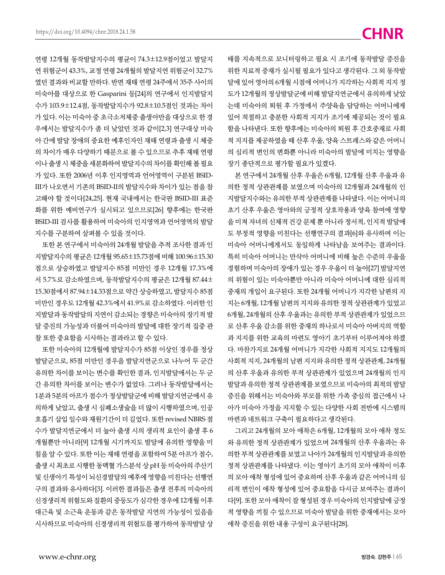연령 12개월 동작발달지수의 평균이 74.3±12.9점이었고 발달지 연 위험군이 43.3%, 교정 연령 24개월의 발달지연 위험군이 32.7% 였던 결과와 비교할 만하다. 반면 재태 연령 24주에서 35주 사이의 미숙아를 대상으로 한 Gasparini 등[24]의 연구에서 인지발달지 수가 103.9±12.4점, 동작발달지수가 92.8±10.5점인 것과는 차이 가 있다. 이는 미숙아 중 초극소저체중 출생아만을 대상으로 한 경 우에서는 발달지수가 좀 더 낮았던 것과 같이[2,3] 연구대상 미숙 아 간에 발달 장애의 중요한 예후인자인 재태 연령과 출생 시 체중 의 차이가 매우 다양하기 때문으로 볼 수 있으므로 추후 재태 연령 이나 출생 시 체중을 세분화하여 발달지수의 차이를 확인해 볼 필요 가 있다. 또한 2006년 이후 인지영역과 언어영역이 구분된 BSID-III가 나오면서 기존의 BSID-II의 발달지수와 차이가 있는 점을 참 고해야 할 것이다[24,25]. 현재 국내에서는 한국판 BSID-III 표준 화를 위한 예비연구가 실시되고 있으므로[26] 향후에는 한국판 BSID-III 검사를 활용하여 미숙아의 인지영역과 언어영역의 발달 지수를 구분하여 살펴볼 수 있을 것이다.

또한 본 연구에서 미숙아의 24개월 발달을 추적 조사한 결과 인 지발달지수의 평균은 12개월 95.65±15.73점에 비해 100.96±15.30 점으로 상승하였고 발달지수 85점 미만인 경우 12개월 17.3%에 서 5.7%로 감소하였으며, 동작발달지수의 평균은 12개월 87.44± 15.30점에서 87.94±14.33점으로 약간 상승하였고, 발달지수 85점 미만인 경우도 12개월 42.3%에서 41.9%로 감소하였다. 이러한 인 지발달과 동작발달의 지연이 감소되는 경향은 미숙아의 장기적 발 달 증진의 가능성과 더불어 미숙아의 발달에 대한 장기적 집중 관 찰 또한 중요함을 시사하는 결과라고 할 수 있다.

또한 미숙아의 12개월에 발달지수가 85점 이상인 경우를 정상 발달군으로, 85점 미만인 경우을 발달지연군으로 나누어 두 군간 유의한 차이를 보이는 변수를 확인한 결과, 인지발달에서는 두 군 간 유의한 차이를 보이는 변수가 없었다. 그러나 동작발달에서는 1분과 5분의 아프가 점수가 정상발달군에 비해 발달지연군에서 유 의하게 낮았고, 출생 시 심폐소생술을 더 많이 시행하였으며, 인공 호흡기 삽입 일수와 재원기간이 더 길었다. 또한 revised NBRS 점 수가 발달지연군에서 더 높아 출생 시의 생리적 요인이 출생 후 6 개월뿐만 아니라[9] 12개월 시기까지도 발달에 유의한 영향을 미 침을 알 수 있다. 또한 이는 재태 연령을 포함하여 5분 아프가 점수, 출생 시 최초로 시행한 동맥혈 가스분석 상 pH 등 미숙아의 주산기 및 신생아기 특성이 뇌신경발달의 예후에 영향을 미친다는 선행연 구의 결과와 유사하다[3]. 이러한 결과들은 출생 전후의 미숙아의 신경생리적 위험도와 질환의 중등도가 심각한 경우에 12개월 이후 대근육 및 소근육 운동과 같은 동작발달 지연의 가능성이 있음을 시사하므로 미숙아의 신경생리적 위험도를 평가하여 동작발달 상 태를 지속적으로 모니터링하고 필요 시 조기에 동작발달 증진을 위한 치료적 중재가 실시될 필요가 있다고 생각된다. 그 외 동작발 달에 있어 영아의 6개월 시점에 어머니가 지각하는 사회적 지지 정 도가 12개월의 정상발달군에 비해 발달지연군에서 유의하게 낮았 는데 미숙아의 퇴원 후 가정에서 주양육을 담당하는 어머니에게 있어 적절하고 충분한 사회적 지지가 조기에 제공되는 것이 필요 함을 나타낸다. 또한 향후에는 미숙아의 퇴원 후 간호중재로 사회 적 지지를 제공하였을 때 산후 우울, 양육 스트레스와 같은 어머니 의 심리적 변인의 변화뿐 아니라 미숙아의 발달에 미치는 영향을 장기 종단적으로 평가할 필요가 있겠다.

본 연구에서 24개월 산후 우울은 6개월, 12개월 산후 우울과 유 의한 정적 상관관계를 보였으며 미숙아의 12개월과 24개월의 인 지발달지수와는 유의한 부적 상관관계를 나타냈다. 이는 어머니의 초기 산후 우울은 영아와의 긍정적 상호작용과 양육 참여에 영향 을 미쳐 자녀의 신체적 건강 문제 뿐 아니라 정서적, 인지적 발달에 도 부정적 영향을 미친다는 선행연구의 결과[6]와 유사하며 이는 미숙아 어머니에게서도 동일하게 나타남을 보여주는 결과이다. 특히 미숙아 어머니는 만삭아 어머니에 비해 높은 수준의 우울을 경험하며 미숙아의 장애가 있는 경우 우울이 더 높아[27] 발달지연 의 위험이 있는 미숙아뿐만 아니라 미숙아 어머니에 대한 심리적 중재의 개입이 요구된다. 또한 24개월 어머니가 지각한 남편의 지 지는 6개월, 12개월 남편의 지지와 유의한 정적 상관관계가 있었고 6개월, 24개월의 산후 우울과는 유의한 부적 상관관계가 있었으므 로 산후 우울 감소를 위한 중재의 하나로서 미숙아 아버지의 역할 과 지지를 위한 교육의 마련도 영아기 초기부터 이루어져야 하겠 다. 마찬가지로 24개월 어머니가 지각한 사회적 지지도 12개월의 사회적 지지, 24개월의 남편 지지와 유의한 정적 상관관계, 24개월 의 산후 우울과 유의한 부적 상관관계가 있었으며 24개월의 인지 발달과 유의한 정적 상관관계를 보였으므로 미숙아의 최적의 발달 증진을 위해서는 미숙아와 부모를 위한 가족 중심의 접근에서 나 아가 미숙아 가정을 지지할 수 있는 다양한 사회 전반에 시스템의 마련과 네트워크 구축이 필요하다고 생각된다.

그리고 24개월의 모아 애착은 6개월, 12개월의 모아 애착 정도 와 유의한 정적 상관관계가 있었으며 24개월의 산후 우울과는 유 의한 부적 상관관계를 보였고 나아가 24개월의 인지발달과 유의한 정적 상관관계를 나타냈다. 이는 영아기 초기의 모아 애착이 이후 의 모아 애착 형성에 있어 중요하며 산후 우울과 같은 어머니의 심 리적 변인이 애착 형성에 있어 중요함을 다시금 보여주는 결과이 다[9]. 또한 모아 애착이 잘 형성된 경우 미숙아의 인지발달에 긍정 적 영향을 끼칠 수 있으므로 미숙아 발달을 위한 중재에서는 모아 애착 증진을 위한 내용 구성이 요구된다[28].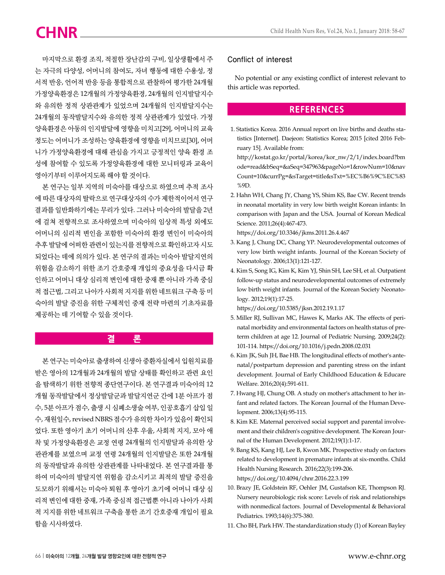마지막으로 환경 조직, 적절한 장난감의 구비, 일상생활에서 주 는 자극의 다양성, 어머니의 참여도, 자녀 행동에 대한 수용성, 정 서적 반응, 언어적 반응 등을 통합적으로 관찰하여 평가한 24개월 가정양육환경은 12개월의 가정양육환경, 24개월의 인지발달지수 와 유의한 정적 상관관계가 있었으며 24개월의 인지발달지수는 24개월의 동작발달지수와 유의한 정적 상관관계가 있었다. 가정 양육환경은 아동의 인지발달에 영향을 미치고[29], 어머니의 교육 정도는 어머니가 조성하는 양육환경에 영향을 미치므로[30], 어머 니가 가정양육환경에 대해 관심을 가지고 긍정적인 양육 환경 조 성에 참여할 수 있도록 가정양육환경에 대한 모니터링과 교육이 영아기부터 이루어지도록 해야 할 것이다.

본 연구는 일부 지역의 미숙아를 대상으로 하였으며 추적 조사 에 따른 대상자의 탈락으로 연구대상자의 수가 제한적이어서 연구 결과를 일반화하기에는 무리가 있다. 그러나 미숙아의 발달을 2년 에 걸쳐 전향적으로 조사하였으며 미숙아의 임상적 특성 외에도 어머니의 심리적 변인을 포함한 미숙아의 환경 변인이 미숙아의 추후 발달에 어떠한 관련이 있는지를 전향적으로 확인하고자 시도 되었다는 데에 의의가 있다. 본 연구의 결과는 미숙아 발달지연의 위험을 감소하기 위한 조기 간호중재 개입의 중요성을 다시금 확 인하고 어머니 대상 심리적 변인에 대한 중재 뿐 아니라 가족 중심 적 접근법, 그리고 나아가 사회적 지지를 위한 네트워크 구축 등 미 숙아의 발달 증진을 위한 구체적인 중재 전략 마련의 기초자료를 제공하는 데 기여할 수 있을 것이다.

# **결 론**

본 연구는 미숙아로 출생하여 신생아 중환자실에서 입원치료를 받은 영아의 12개월과 24개월의 발달 상태를 확인하고 관련 요인 을 탐색하기 위한 전향적 종단연구이다. 본 연구결과 미숙아의 12 개월 동작발달에서 정상발달군과 발달지연군 간에 1분 아프가 점 수, 5분 아프가 점수, 출생 시 심폐소생술 여부, 인공호흡기 삽입 일 수, 재원일수, revised NBRS 점수가 유의한 차이가 있음이 확인되 었다. 또한 영아기 초기 어머니의 산후 우울, 사회적 지지, 모아 애 착 및 가정양육환경은 교정 연령 24개월의 인지발달과 유의한 상 관관계를 보였으며 교정 연령 24개월의 인지발달은 또한 24개월 의 동작발달과 유의한 상관관계를 나타내었다. 본 연구결과를 통 하여 미숙아의 발달지연 위험을 감소시키고 최적의 발달 증진을 도모하기 위해서는 미숙아 퇴원 후 영아기 초기에 어머니 대상 심 리적 변인에 대한 중재, 가족 중심적 접근법뿐 아니라 나아가 사회 적 지지를 위한 네트워크 구축을 통한 조기 간호중재 개입이 필요 함을 시사하였다.

### Conflict of interest

No potential or any existing conflict of interest relevant to this article was reported.

# **REFERENCES**

1. Statistics Korea. 2016 Annual report on live births and deaths statistics [Internet]. Daejeon: Statistics Korea; 2015 [cited 2016 February 15]. Available from:

http://kostat.go.kr/portal/korea/kor\_nw/2/1/index.board?bm ode=read&bSeq=&aSeq=347963&pageNo=1&rowNum=10&nav Count=10&currPg=&sTarget=title&sTxt=%EC%B6%9C%EC%83 %9D.

2. Hahn WH, Chang JY, Chang YS, Shim KS, Bae CW. Recent trends in neonatal mortality in very low birth weight Korean infants: In comparison with Japan and the USA. Journal of Korean Medical Science. 2011;26(4):467-473.

https://doi.org/10.3346/jkms.2011.26.4.467

- 3. Kang J, Chung DC, Chang YP. Neurodevelopmental outcomes of very low birth weight infants. Journal of the Korean Society of Neonatology. 2006;13(1):121-127.
- 4. Kim S, Song IG, Kim K, Kim YJ, Shin SH, Lee SH, et al. Outpatient follow-up status and neurodevelopmental outcomes of extremely low birth weight infants. Journal of the Korean Society Neonatology. 2012;19(1):17-25.

https://doi.org/10.5385/jksn.2012.19.1.17

- 5. Miller RJ, Sullivan MC, Hawes K, Marks AK. The effects of perinatal morbidity and environmental factors on health status of preterm children at age 12. Journal of Pediatric Nursing. 2009;24(2): 101-114. https://doi.org/10.1016/j.pedn.2008.02.031
- 6. Kim JK, Suh JH, Bae HB. The longitudinal effects of mother's antenatal/postpartum depression and parenting stress on the infant development. Journal of Early Childhood Education & Educare Welfare. 2016;20(4):591-611.
- 7. Hwang HJ, Chung OB. A study on mother's attachment to her infant and related factors. The Korean Journal of the Human Development. 2006;13(4):95-115.
- 8. Kim KE. Maternal perceived social support and parental involvement and their children's cognitive development. The Korean Journal of the Human Development. 2012;19(1):1-17.
- 9. Bang KS, Kang HJ, Lee B, Kwon MK. Prospective study on factors related to development in premature infants at six-months. Child Health Nursing Research. 2016;22(3):199-206. https://doi.org/10.4094/chnr.2016.22.3.199
- 10. Brazy JE, Goldstein RF, Oehler JM, Gustafson KE, Thompson RJ. Nursery neurobiologic risk score: Levels of risk and relationships with nonmedical factors. Journal of Developmental & Behavioral Pediatrics. 1993;14(6):375-380.
- 11. Cho BH, Park HW. The standardization study (1) of Korean Bayley